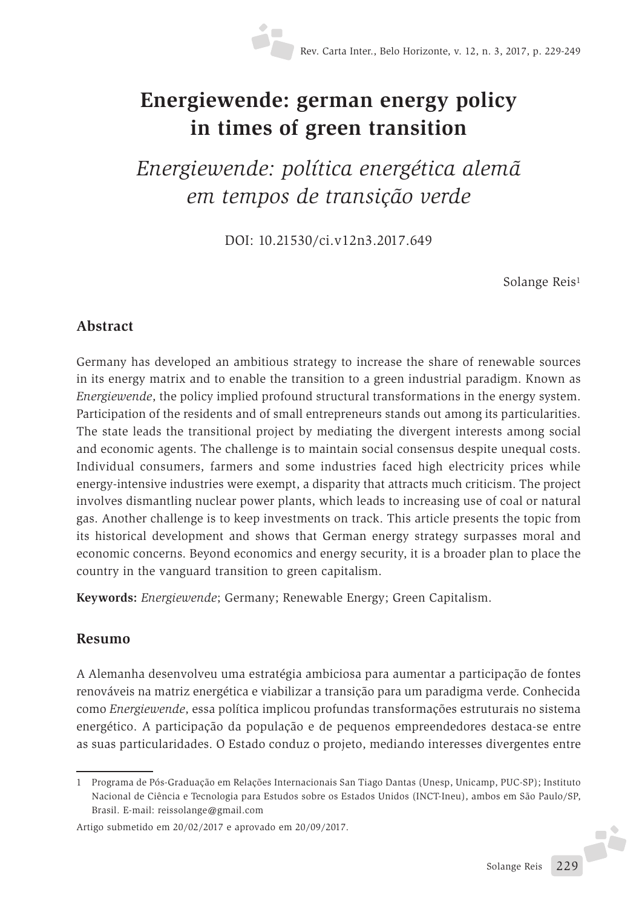# **Energiewende: german energy policy in times of green transition**

*Energiewende: política energética alemã em tempos de transição verde*

DOI: 10.21530/ci.v12n3.2017.649

Solange Reis<sup>1</sup>

### **Abstract**

Germany has developed an ambitious strategy to increase the share of renewable sources in its energy matrix and to enable the transition to a green industrial paradigm. Known as *Energiewende*, the policy implied profound structural transformations in the energy system. Participation of the residents and of small entrepreneurs stands out among its particularities. The state leads the transitional project by mediating the divergent interests among social and economic agents. The challenge is to maintain social consensus despite unequal costs. Individual consumers, farmers and some industries faced high electricity prices while energy-intensive industries were exempt, a disparity that attracts much criticism. The project involves dismantling nuclear power plants, which leads to increasing use of coal or natural gas. Another challenge is to keep investments on track. This article presents the topic from its historical development and shows that German energy strategy surpasses moral and economic concerns. Beyond economics and energy security, it is a broader plan to place the country in the vanguard transition to green capitalism.

**Keywords:** *Energiewende*; Germany; Renewable Energy; Green Capitalism.

### **Resumo**

A Alemanha desenvolveu uma estratégia ambiciosa para aumentar a participação de fontes renováveis na matriz energética e viabilizar a transição para um paradigma verde. Conhecida como *Energiewende*, essa política implicou profundas transformações estruturais no sistema energético. A participação da população e de pequenos empreendedores destaca-se entre as suas particularidades. O Estado conduz o projeto, mediando interesses divergentes entre

F

<sup>1</sup> Programa de Pós-Graduação em Relações Internacionais San Tiago Dantas (Unesp, Unicamp, PUC-SP); Instituto Nacional de Ciência e Tecnologia para Estudos sobre os Estados Unidos (INCT-Ineu), ambos em São Paulo/SP, Brasil. E-mail: reissolange@gmail.com

Artigo submetido em 20/02/2017 e aprovado em 20/09/2017.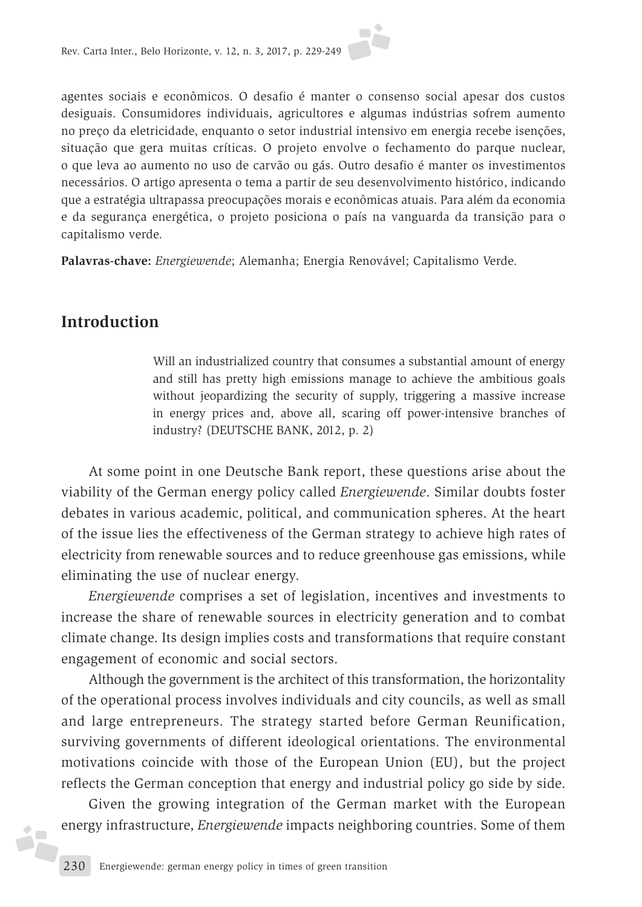agentes sociais e econômicos. O desafio é manter o consenso social apesar dos custos desiguais. Consumidores individuais, agricultores e algumas indústrias sofrem aumento no preço da eletricidade, enquanto o setor industrial intensivo em energia recebe isenções, situação que gera muitas críticas. O projeto envolve o fechamento do parque nuclear, o que leva ao aumento no uso de carvão ou gás. Outro desafio é manter os investimentos necessários. O artigo apresenta o tema a partir de seu desenvolvimento histórico, indicando que a estratégia ultrapassa preocupações morais e econômicas atuais. Para além da economia e da segurança energética, o projeto posiciona o país na vanguarda da transição para o capitalismo verde.

**Palavras-chave:** *Energiewende*; Alemanha; Energia Renovável; Capitalismo Verde.

## **Introduction**

 $\bullet$ j. Will an industrialized country that consumes a substantial amount of energy and still has pretty high emissions manage to achieve the ambitious goals without jeopardizing the security of supply, triggering a massive increase in energy prices and, above all, scaring off power-intensive branches of industry? (DEUTSCHE BANK, 2012, p. 2)

At some point in one Deutsche Bank report, these questions arise about the viability of the German energy policy called *Energiewende*. Similar doubts foster debates in various academic, political, and communication spheres. At the heart of the issue lies the effectiveness of the German strategy to achieve high rates of electricity from renewable sources and to reduce greenhouse gas emissions, while eliminating the use of nuclear energy.

*Energiewende* comprises a set of legislation, incentives and investments to increase the share of renewable sources in electricity generation and to combat climate change. Its design implies costs and transformations that require constant engagement of economic and social sectors.

Although the government is the architect of this transformation, the horizontality of the operational process involves individuals and city councils, as well as small and large entrepreneurs. The strategy started before German Reunification, surviving governments of different ideological orientations. The environmental motivations coincide with those of the European Union (EU), but the project reflects the German conception that energy and industrial policy go side by side.

Given the growing integration of the German market with the European energy infrastructure, *Energiewende* impacts neighboring countries. Some of them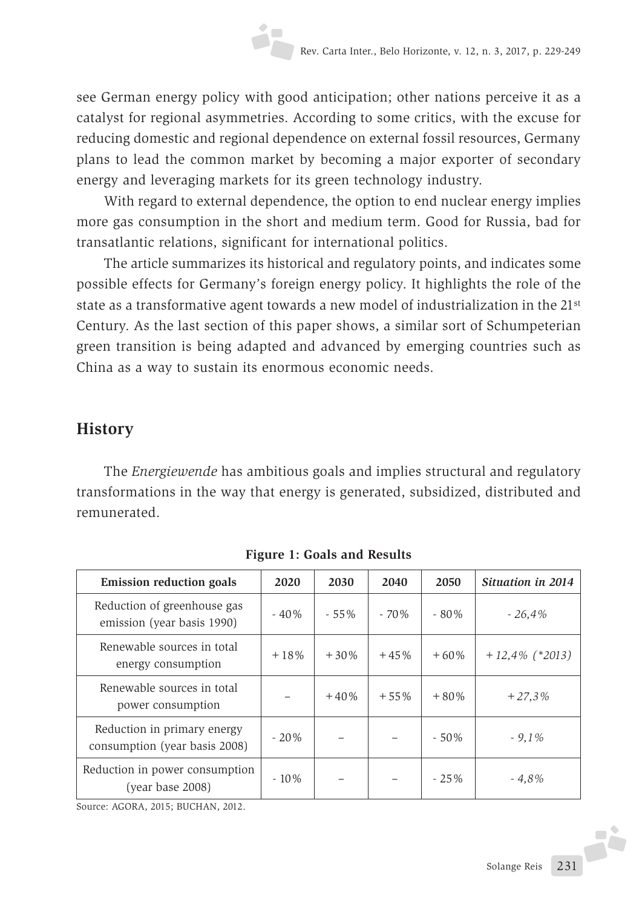see German energy policy with good anticipation; other nations perceive it as a catalyst for regional asymmetries. According to some critics, with the excuse for reducing domestic and regional dependence on external fossil resources, Germany plans to lead the common market by becoming a major exporter of secondary energy and leveraging markets for its green technology industry.

With regard to external dependence, the option to end nuclear energy implies more gas consumption in the short and medium term. Good for Russia, bad for transatlantic relations, significant for international politics.

The article summarizes its historical and regulatory points, and indicates some possible effects for Germany's foreign energy policy. It highlights the role of the state as a transformative agent towards a new model of industrialization in the 21st Century. As the last section of this paper shows, a similar sort of Schumpeterian green transition is being adapted and advanced by emerging countries such as China as a way to sustain its enormous economic needs.

# **History**

The *Energiewende* has ambitious goals and implies structural and regulatory transformations in the way that energy is generated, subsidized, distributed and remunerated.

| <b>Emission reduction goals</b>                              | 2020    | 2030    | 2040    | 2050   | Situation in 2014 |
|--------------------------------------------------------------|---------|---------|---------|--------|-------------------|
| Reduction of greenhouse gas<br>emission (year basis 1990)    | $-40%$  | $-55\%$ | $-70\%$ | $-80%$ | $-26,4%$          |
| Renewable sources in total<br>energy consumption             | $+18%$  | $+30%$  | $+45%$  | $+60%$ | $+12,4\%$ (*2013) |
| Renewable sources in total<br>power consumption              |         | $+40%$  | $+55%$  | $+80%$ | $+27,3%$          |
| Reduction in primary energy<br>consumption (year basis 2008) | $-20%$  |         |         | $-50%$ | $-9,1%$           |
| Reduction in power consumption<br>(year base 2008)           | $-10\%$ |         |         | $-25%$ | $-4,8%$           |

**Figure 1: Goals and Results**

Source: AGORA, 2015; BUCHAN, 2012.

J.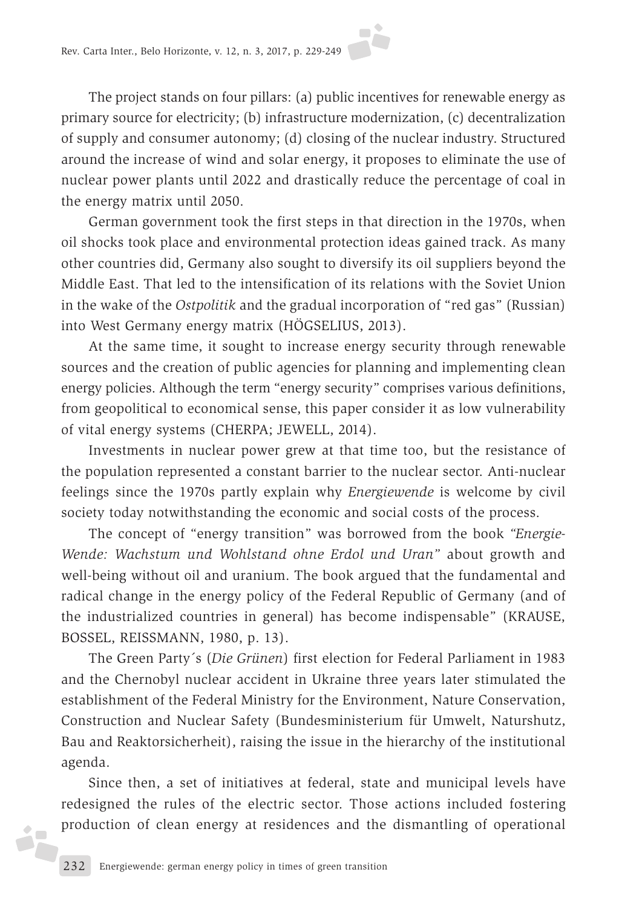The project stands on four pillars: (a) public incentives for renewable energy as primary source for electricity; (b) infrastructure modernization, (c) decentralization of supply and consumer autonomy; (d) closing of the nuclear industry. Structured around the increase of wind and solar energy, it proposes to eliminate the use of nuclear power plants until 2022 and drastically reduce the percentage of coal in the energy matrix until 2050.

German government took the first steps in that direction in the 1970s, when oil shocks took place and environmental protection ideas gained track. As many other countries did, Germany also sought to diversify its oil suppliers beyond the Middle East. That led to the intensification of its relations with the Soviet Union in the wake of the *Ostpolitik* and the gradual incorporation of "red gas" (Russian) into West Germany energy matrix (HÖGSELIUS, 2013).

At the same time, it sought to increase energy security through renewable sources and the creation of public agencies for planning and implementing clean energy policies. Although the term "energy security" comprises various definitions, from geopolitical to economical sense, this paper consider it as low vulnerability of vital energy systems (CHERPA; JEWELL, 2014).

Investments in nuclear power grew at that time too, but the resistance of the population represented a constant barrier to the nuclear sector. Anti-nuclear feelings since the 1970s partly explain why *Energiewende* is welcome by civil society today notwithstanding the economic and social costs of the process.

The concept of "energy transition" was borrowed from the book *"Energie-Wende: Wachstum und Wohlstand ohne Erdol und Uran"* about growth and well-being without oil and uranium. The book argued that the fundamental and radical change in the energy policy of the Federal Republic of Germany (and of the industrialized countries in general) has become indispensable" (KRAUSE, BOSSEL, REISSMANN, 1980, p. 13).

The Green Party´s (*Die Grünen*) first election for Federal Parliament in 1983 and the Chernobyl nuclear accident in Ukraine three years later stimulated the establishment of the Federal Ministry for the Environment, Nature Conservation, Construction and Nuclear Safety (Bundesministerium für Umwelt, Naturshutz, Bau and Reaktorsicherheit), raising the issue in the hierarchy of the institutional agenda.

Since then, a set of initiatives at federal, state and municipal levels have redesigned the rules of the electric sector. Those actions included fostering production of clean energy at residences and the dismantling of operational

**SF**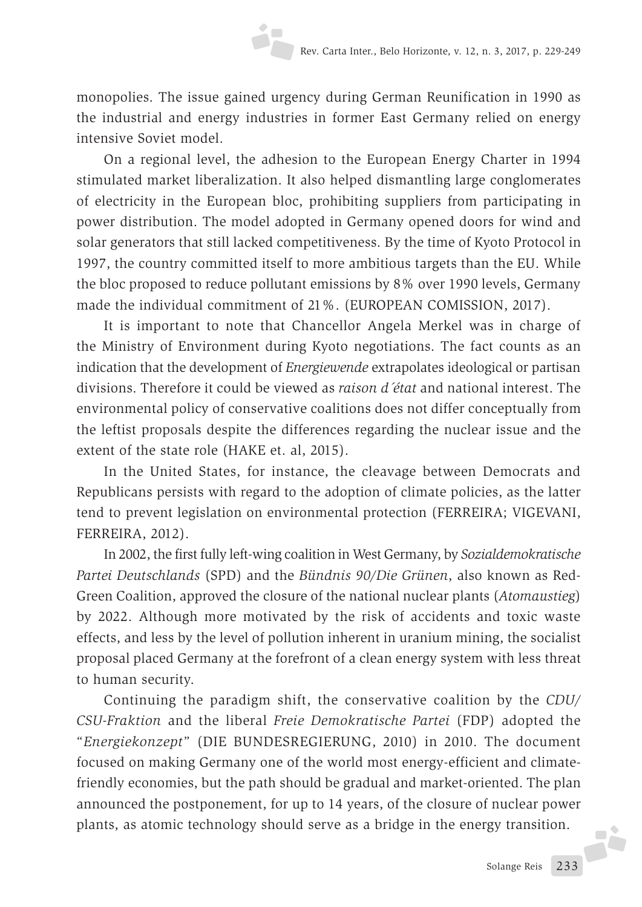monopolies. The issue gained urgency during German Reunification in 1990 as the industrial and energy industries in former East Germany relied on energy intensive Soviet model.

On a regional level, the adhesion to the European Energy Charter in 1994 stimulated market liberalization. It also helped dismantling large conglomerates of electricity in the European bloc, prohibiting suppliers from participating in power distribution. The model adopted in Germany opened doors for wind and solar generators that still lacked competitiveness. By the time of Kyoto Protocol in 1997, the country committed itself to more ambitious targets than the EU. While the bloc proposed to reduce pollutant emissions by 8% over 1990 levels, Germany made the individual commitment of 21%. (EUROPEAN COMISSION, 2017).

It is important to note that Chancellor Angela Merkel was in charge of the Ministry of Environment during Kyoto negotiations. The fact counts as an indication that the development of *Energiewende* extrapolates ideological or partisan divisions. Therefore it could be viewed as *raison d´état* and national interest. The environmental policy of conservative coalitions does not differ conceptually from the leftist proposals despite the differences regarding the nuclear issue and the extent of the state role (HAKE et. al, 2015).

In the United States, for instance, the cleavage between Democrats and Republicans persists with regard to the adoption of climate policies, as the latter tend to prevent legislation on environmental protection (FERREIRA; VIGEVANI, FERREIRA, 2012).

In 2002, the first fully left-wing coalition in West Germany, by *Sozialdemokratische Partei Deutschlands* (SPD) and the *Bündnis 90/Die Grünen*, also known as Red-Green Coalition, approved the closure of the national nuclear plants (*Atomaustieg*) by 2022. Although more motivated by the risk of accidents and toxic waste effects, and less by the level of pollution inherent in uranium mining, the socialist proposal placed Germany at the forefront of a clean energy system with less threat to human security.

Continuing the paradigm shift, the conservative coalition by the *CDU/ CSU-Fraktion* and the liberal *Freie Demokratische Partei* (FDP) adopted the "*Energiekonzept*" (DIE BUNDESREGIERUNG, 2010) in 2010. The document focused on making Germany one of the world most energy-efficient and climatefriendly economies, but the path should be gradual and market-oriented. The plan announced the postponement, for up to 14 years, of the closure of nuclear power plants, as atomic technology should serve as a bridge in the energy transition.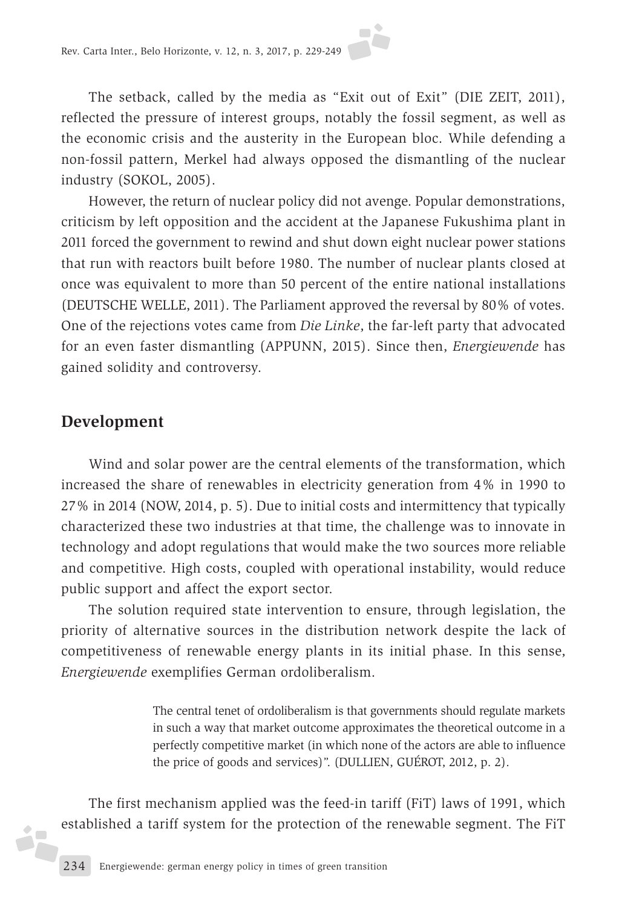The setback, called by the media as "Exit out of Exit" (DIE ZEIT, 2011), reflected the pressure of interest groups, notably the fossil segment, as well as the economic crisis and the austerity in the European bloc. While defending a non-fossil pattern, Merkel had always opposed the dismantling of the nuclear industry (SOKOL, 2005).

However, the return of nuclear policy did not avenge. Popular demonstrations, criticism by left opposition and the accident at the Japanese Fukushima plant in 2011 forced the government to rewind and shut down eight nuclear power stations that run with reactors built before 1980. The number of nuclear plants closed at once was equivalent to more than 50 percent of the entire national installations (DEUTSCHE WELLE, 2011). The Parliament approved the reversal by 80% of votes. One of the rejections votes came from *Die Linke*, the far-left party that advocated for an even faster dismantling (APPUNN, 2015). Since then, *Energiewende* has gained solidity and controversy.

### **Development**

 $\bullet$ áF

Wind and solar power are the central elements of the transformation, which increased the share of renewables in electricity generation from 4% in 1990 to 27% in 2014 (NOW, 2014, p. 5). Due to initial costs and intermittency that typically characterized these two industries at that time, the challenge was to innovate in technology and adopt regulations that would make the two sources more reliable and competitive. High costs, coupled with operational instability, would reduce public support and affect the export sector.

The solution required state intervention to ensure, through legislation, the priority of alternative sources in the distribution network despite the lack of competitiveness of renewable energy plants in its initial phase. In this sense, *Energiewende* exemplifies German ordoliberalism.

> The central tenet of ordoliberalism is that governments should regulate markets in such a way that market outcome approximates the theoretical outcome in a perfectly competitive market (in which none of the actors are able to influence the price of goods and services)". (DULLIEN, GUÉROT, 2012, p. 2).

The first mechanism applied was the feed-in tariff (FiT) laws of 1991, which established a tariff system for the protection of the renewable segment. The FiT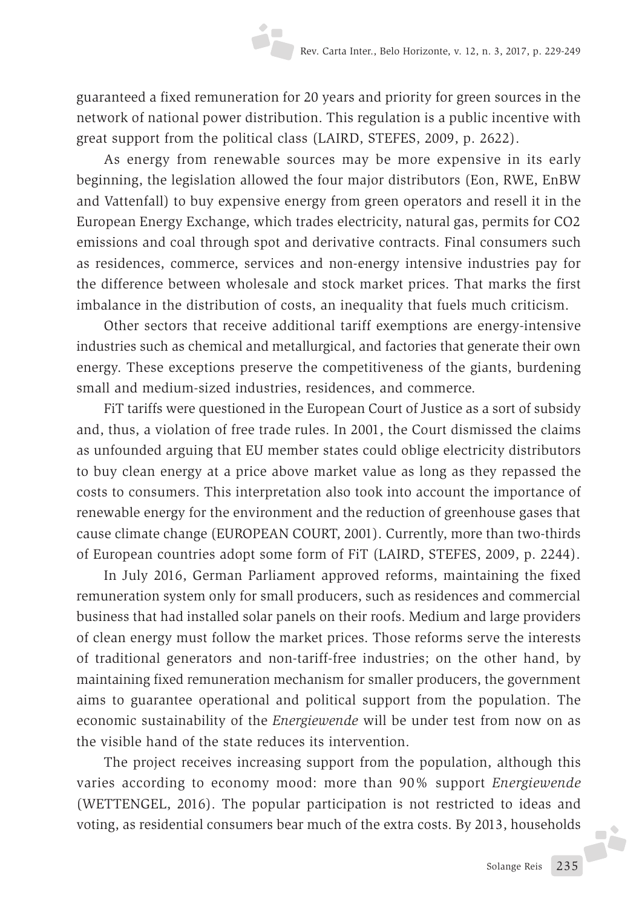guaranteed a fixed remuneration for 20 years and priority for green sources in the network of national power distribution. This regulation is a public incentive with great support from the political class (LAIRD, STEFES, 2009, p. 2622).

As energy from renewable sources may be more expensive in its early beginning, the legislation allowed the four major distributors (Eon, RWE, EnBW and Vattenfall) to buy expensive energy from green operators and resell it in the European Energy Exchange, which trades electricity, natural gas, permits for CO2 emissions and coal through spot and derivative contracts. Final consumers such as residences, commerce, services and non-energy intensive industries pay for the difference between wholesale and stock market prices. That marks the first imbalance in the distribution of costs, an inequality that fuels much criticism.

Other sectors that receive additional tariff exemptions are energy-intensive industries such as chemical and metallurgical, and factories that generate their own energy. These exceptions preserve the competitiveness of the giants, burdening small and medium-sized industries, residences, and commerce.

FiT tariffs were questioned in the European Court of Justice as a sort of subsidy and, thus, a violation of free trade rules. In 2001, the Court dismissed the claims as unfounded arguing that EU member states could oblige electricity distributors to buy clean energy at a price above market value as long as they repassed the costs to consumers. This interpretation also took into account the importance of renewable energy for the environment and the reduction of greenhouse gases that cause climate change (EUROPEAN COURT, 2001). Currently, more than two-thirds of European countries adopt some form of FiT (LAIRD, STEFES, 2009, p. 2244).

In July 2016, German Parliament approved reforms, maintaining the fixed remuneration system only for small producers, such as residences and commercial business that had installed solar panels on their roofs. Medium and large providers of clean energy must follow the market prices. Those reforms serve the interests of traditional generators and non-tariff-free industries; on the other hand, by maintaining fixed remuneration mechanism for smaller producers, the government aims to guarantee operational and political support from the population. The economic sustainability of the *Energiewende* will be under test from now on as the visible hand of the state reduces its intervention.

The project receives increasing support from the population, although this varies according to economy mood: more than 90% support *Energiewende*  (WETTENGEL, 2016). The popular participation is not restricted to ideas and voting, as residential consumers bear much of the extra costs. By 2013, households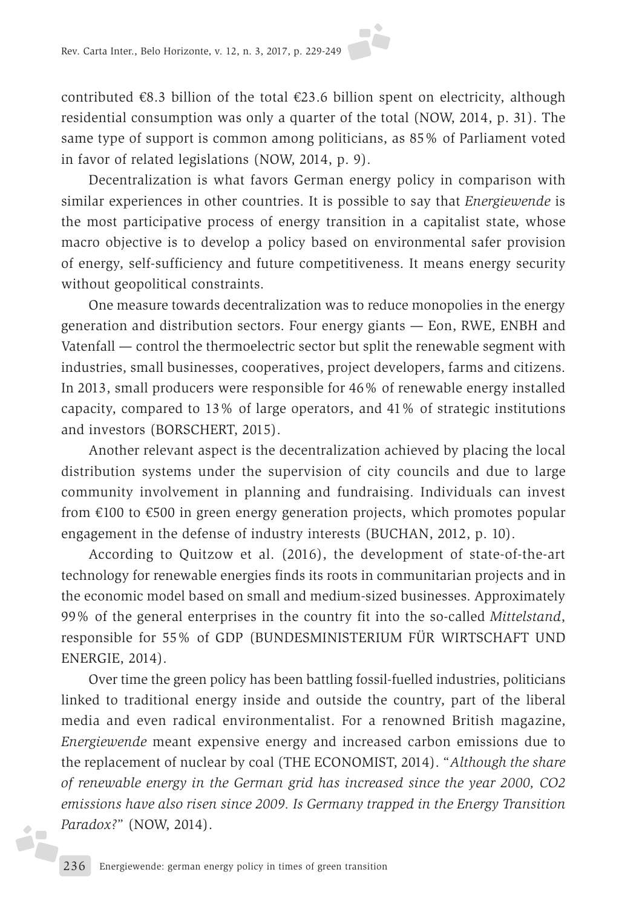contributed  $\epsilon$ 8.3 billion of the total  $\epsilon$ 23.6 billion spent on electricity, although residential consumption was only a quarter of the total (NOW, 2014, p. 31). The same type of support is common among politicians, as 85% of Parliament voted in favor of related legislations (NOW, 2014, p. 9).

Decentralization is what favors German energy policy in comparison with similar experiences in other countries. It is possible to say that *Energiewende* is the most participative process of energy transition in a capitalist state, whose macro objective is to develop a policy based on environmental safer provision of energy, self-sufficiency and future competitiveness. It means energy security without geopolitical constraints.

One measure towards decentralization was to reduce monopolies in the energy generation and distribution sectors. Four energy giants — Eon, RWE, ENBH and Vatenfall — control the thermoelectric sector but split the renewable segment with industries, small businesses, cooperatives, project developers, farms and citizens. In 2013, small producers were responsible for 46% of renewable energy installed capacity, compared to 13% of large operators, and 41% of strategic institutions and investors (BORSCHERT, 2015).

Another relevant aspect is the decentralization achieved by placing the local distribution systems under the supervision of city councils and due to large community involvement in planning and fundraising. Individuals can invest from €100 to €500 in green energy generation projects, which promotes popular engagement in the defense of industry interests (BUCHAN, 2012, p. 10).

According to Quitzow et al. (2016), the development of state-of-the-art technology for renewable energies finds its roots in communitarian projects and in the economic model based on small and medium-sized businesses. Approximately 99% of the general enterprises in the country fit into the so-called *Mittelstand*, responsible for 55% of GDP (BUNDESMINISTERIUM FÜR WIRTSCHAFT UND ENERGIE, 2014).

Over time the green policy has been battling fossil-fuelled industries, politicians linked to traditional energy inside and outside the country, part of the liberal media and even radical environmentalist. For a renowned British magazine, *Energiewende* meant expensive energy and increased carbon emissions due to the replacement of nuclear by coal (THE ECONOMIST, 2014). "*Although the share of renewable energy in the German grid has increased since the year 2000, CO2 emissions have also risen since 2009. Is Germany trapped in the Energy Transition Paradox?*" (NOW, 2014).

 $\bullet$ ÅF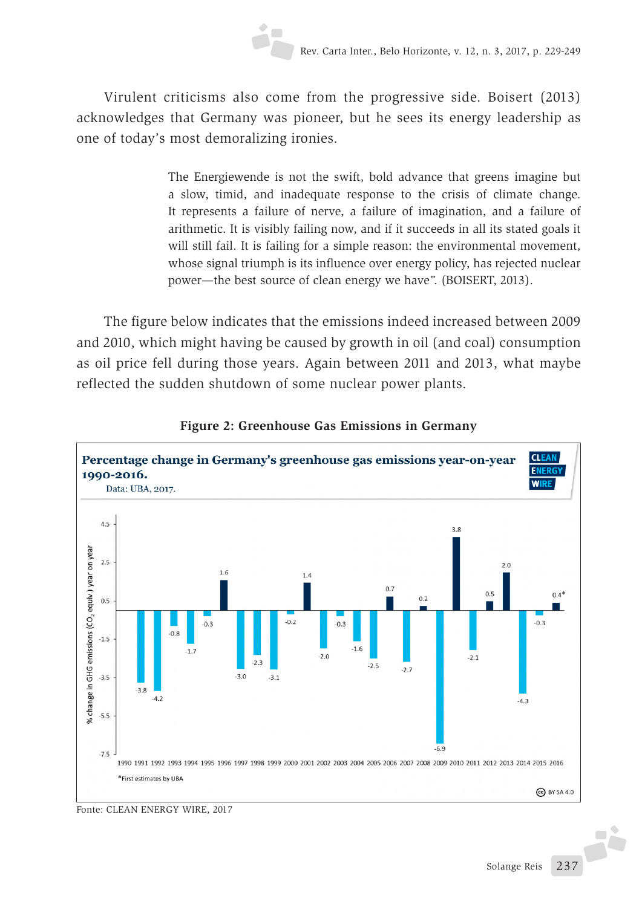Virulent criticisms also come from the progressive side. Boisert (2013) acknowledges that Germany was pioneer, but he sees its energy leadership as one of today's most demoralizing ironies.

> The Energiewende is not the swift, bold advance that greens imagine but a slow, timid, and inadequate response to the crisis of climate change. It represents a failure of nerve, a failure of imagination, and a failure of arithmetic. It is visibly failing now, and if it succeeds in all its stated goals it will still fail. It is failing for a simple reason: the environmental movement, whose signal triumph is its influence over energy policy, has rejected nuclear power—the best source of clean energy we have". (BOISERT, 2013).

The figure below indicates that the emissions indeed increased between 2009 and 2010, which might having be caused by growth in oil (and coal) consumption as oil price fell during those years. Again between 2011 and 2013, what maybe reflected the sudden shutdown of some nuclear power plants.



#### **Figure 2: Greenhouse Gas Emissions in Germany**

Fonte: CLEAN ENERGY WIRE, 2017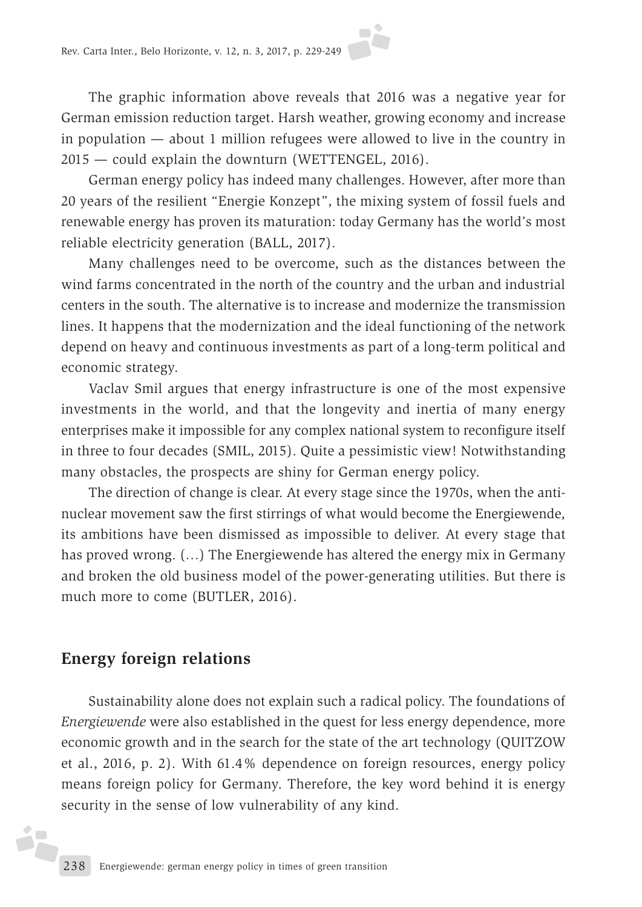The graphic information above reveals that 2016 was a negative year for German emission reduction target. Harsh weather, growing economy and increase in population — about 1 million refugees were allowed to live in the country in 2015 — could explain the downturn (WETTENGEL, 2016).

German energy policy has indeed many challenges. However, after more than 20 years of the resilient "Energie Konzept", the mixing system of fossil fuels and renewable energy has proven its maturation: today Germany has the world's most reliable electricity generation (BALL, 2017).

Many challenges need to be overcome, such as the distances between the wind farms concentrated in the north of the country and the urban and industrial centers in the south. The alternative is to increase and modernize the transmission lines. It happens that the modernization and the ideal functioning of the network depend on heavy and continuous investments as part of a long-term political and economic strategy.

Vaclav Smil argues that energy infrastructure is one of the most expensive investments in the world, and that the longevity and inertia of many energy enterprises make it impossible for any complex national system to reconfigure itself in three to four decades (SMIL, 2015). Quite a pessimistic view! Notwithstanding many obstacles, the prospects are shiny for German energy policy.

The direction of change is clear. At every stage since the 1970s, when the antinuclear movement saw the first stirrings of what would become the Energiewende, its ambitions have been dismissed as impossible to deliver. At every stage that has proved wrong. (…) The Energiewende has altered the energy mix in Germany and broken the old business model of the power-generating utilities. But there is much more to come (BUTLER, 2016).

#### **Energy foreign relations**

ż

Sustainability alone does not explain such a radical policy. The foundations of *Energiewende* were also established in the quest for less energy dependence, more economic growth and in the search for the state of the art technology (QUITZOW et al., 2016, p. 2). With 61.4% dependence on foreign resources, energy policy means foreign policy for Germany. Therefore, the key word behind it is energy security in the sense of low vulnerability of any kind.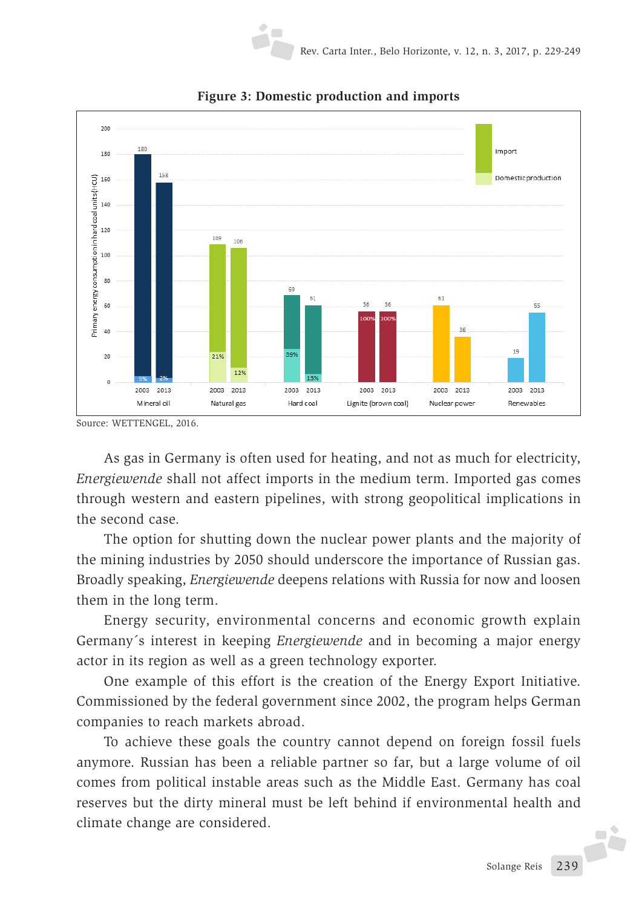



As gas in Germany is often used for heating, and not as much for electricity, *Energiewende* shall not affect imports in the medium term. Imported gas comes through western and eastern pipelines, with strong geopolitical implications in the second case.

The option for shutting down the nuclear power plants and the majority of the mining industries by 2050 should underscore the importance of Russian gas. Broadly speaking, *Energiewende* deepens relations with Russia for now and loosen them in the long term.

Energy security, environmental concerns and economic growth explain Germany´s interest in keeping *Energiewende* and in becoming a major energy actor in its region as well as a green technology exporter.

One example of this effort is the creation of the Energy Export Initiative. Commissioned by the federal government since 2002, the program helps German companies to reach markets abroad.

To achieve these goals the country cannot depend on foreign fossil fuels anymore. Russian has been a reliable partner so far, but a large volume of oil comes from political instable areas such as the Middle East. Germany has coal reserves but the dirty mineral must be left behind if environmental health and climate change are considered.

Source: WETTENGEL, 2016.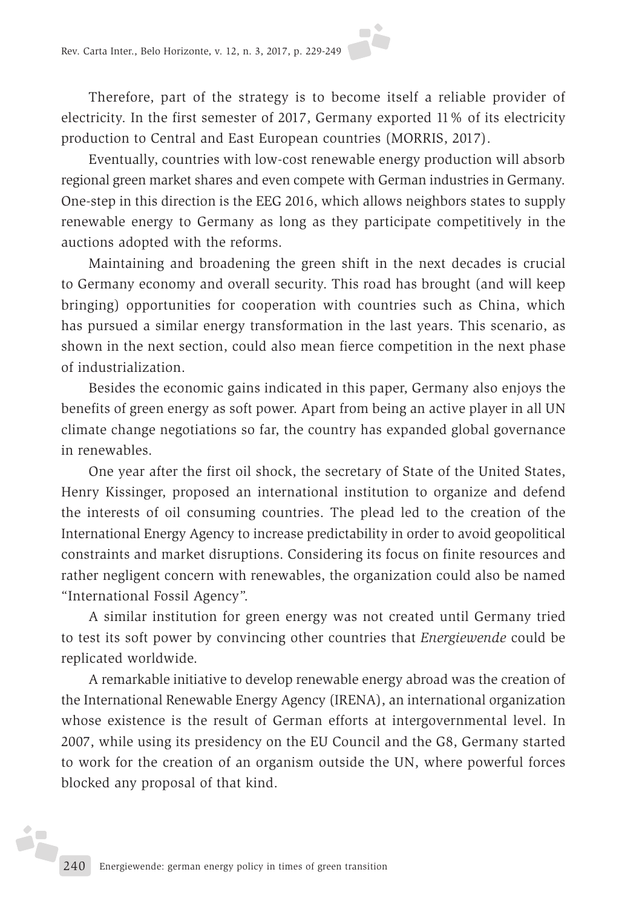Therefore, part of the strategy is to become itself a reliable provider of electricity. In the first semester of 2017, Germany exported 11% of its electricity production to Central and East European countries (MORRIS, 2017).

Eventually, countries with low-cost renewable energy production will absorb regional green market shares and even compete with German industries in Germany. One-step in this direction is the EEG 2016, which allows neighbors states to supply renewable energy to Germany as long as they participate competitively in the auctions adopted with the reforms.

Maintaining and broadening the green shift in the next decades is crucial to Germany economy and overall security. This road has brought (and will keep bringing) opportunities for cooperation with countries such as China, which has pursued a similar energy transformation in the last years. This scenario, as shown in the next section, could also mean fierce competition in the next phase of industrialization.

Besides the economic gains indicated in this paper, Germany also enjoys the benefits of green energy as soft power. Apart from being an active player in all UN climate change negotiations so far, the country has expanded global governance in renewables.

One year after the first oil shock, the secretary of State of the United States, Henry Kissinger, proposed an international institution to organize and defend the interests of oil consuming countries. The plead led to the creation of the International Energy Agency to increase predictability in order to avoid geopolitical constraints and market disruptions. Considering its focus on finite resources and rather negligent concern with renewables, the organization could also be named "International Fossil Agency".

A similar institution for green energy was not created until Germany tried to test its soft power by convincing other countries that *Energiewende* could be replicated worldwide.

A remarkable initiative to develop renewable energy abroad was the creation of the International Renewable Energy Agency (IRENA), an international organization whose existence is the result of German efforts at intergovernmental level. In 2007, while using its presidency on the EU Council and the G8, Germany started to work for the creation of an organism outside the UN, where powerful forces blocked any proposal of that kind.

ż.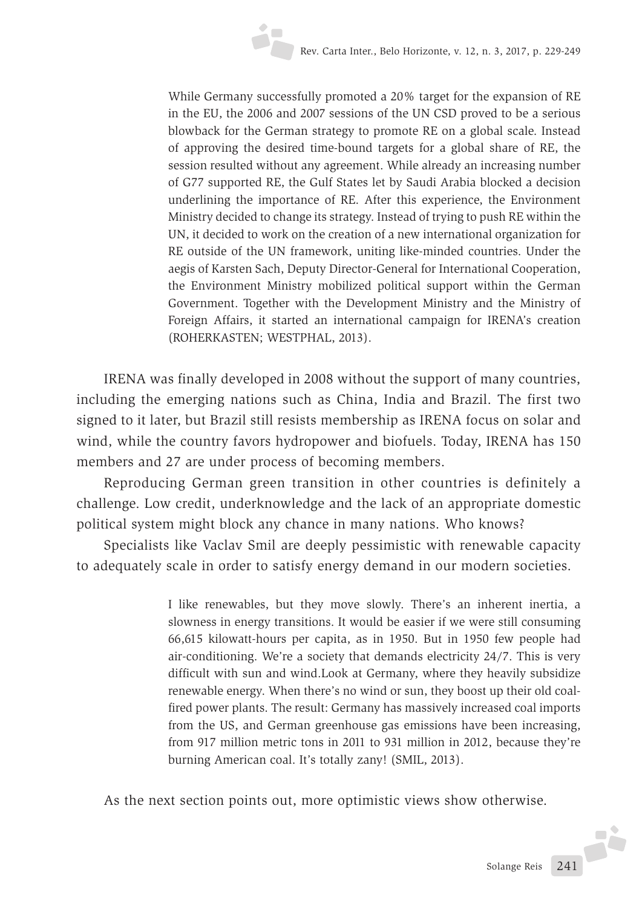While Germany successfully promoted a 20% target for the expansion of RE in the EU, the 2006 and 2007 sessions of the UN CSD proved to be a serious blowback for the German strategy to promote RE on a global scale. Instead of approving the desired time-bound targets for a global share of RE, the session resulted without any agreement. While already an increasing number of G77 supported RE, the Gulf States let by Saudi Arabia blocked a decision underlining the importance of RE. After this experience, the Environment Ministry decided to change its strategy. Instead of trying to push RE within the UN, it decided to work on the creation of a new international organization for RE outside of the UN framework, uniting like-minded countries. Under the aegis of Karsten Sach, Deputy Director-General for International Cooperation, the Environment Ministry mobilized political support within the German Government. Together with the Development Ministry and the Ministry of Foreign Affairs, it started an international campaign for IRENA's creation (ROHERKASTEN; WESTPHAL, 2013).

IRENA was finally developed in 2008 without the support of many countries, including the emerging nations such as China, India and Brazil. The first two signed to it later, but Brazil still resists membership as IRENA focus on solar and wind, while the country favors hydropower and biofuels. Today, IRENA has 150 members and 27 are under process of becoming members.

Reproducing German green transition in other countries is definitely a challenge. Low credit, underknowledge and the lack of an appropriate domestic political system might block any chance in many nations. Who knows?

Specialists like Vaclav Smil are deeply pessimistic with renewable capacity to adequately scale in order to satisfy energy demand in our modern societies.

> I like renewables, but they move slowly. There's an inherent inertia, a slowness in energy transitions. It would be easier if we were still consuming 66,615 kilowatt-hours per capita, as in 1950. But in 1950 few people had air-conditioning. We're a society that demands electricity 24/7. This is very difficult with sun and wind.Look at Germany, where they heavily subsidize renewable energy. When there's no wind or sun, they boost up their old coalfired power plants. The result: Germany has massively increased coal imports from the US, and German greenhouse gas emissions have been increasing, from 917 million metric tons in 2011 to 931 million in 2012, because they're burning American coal. It's totally zany! (SMIL, 2013).

As the next section points out, more optimistic views show otherwise.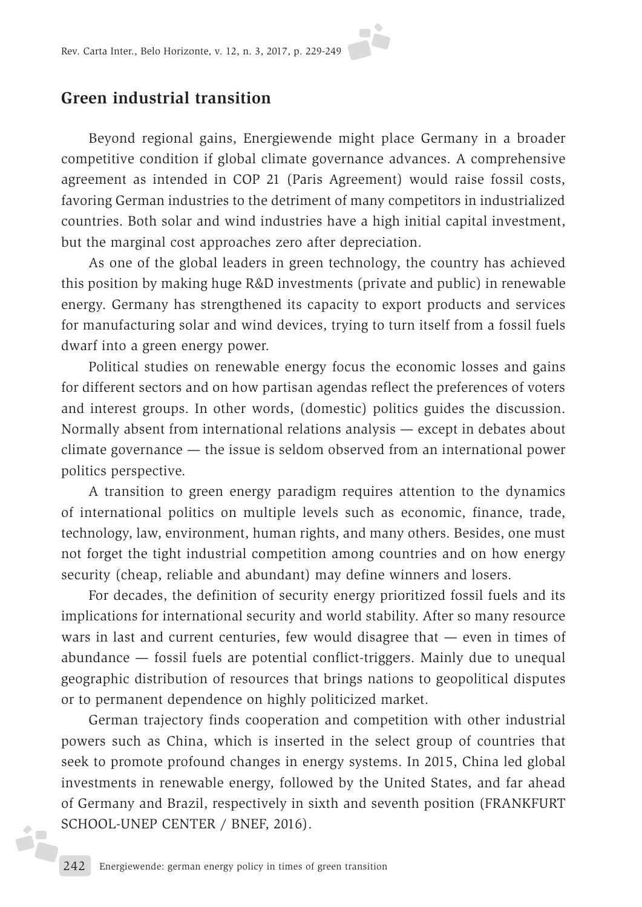### **Green industrial transition**

Beyond regional gains, Energiewende might place Germany in a broader competitive condition if global climate governance advances. A comprehensive agreement as intended in COP 21 (Paris Agreement) would raise fossil costs, favoring German industries to the detriment of many competitors in industrialized countries. Both solar and wind industries have a high initial capital investment, but the marginal cost approaches zero after depreciation.

As one of the global leaders in green technology, the country has achieved this position by making huge R&D investments (private and public) in renewable energy. Germany has strengthened its capacity to export products and services for manufacturing solar and wind devices, trying to turn itself from a fossil fuels dwarf into a green energy power.

Political studies on renewable energy focus the economic losses and gains for different sectors and on how partisan agendas reflect the preferences of voters and interest groups. In other words, (domestic) politics guides the discussion. Normally absent from international relations analysis — except in debates about climate governance — the issue is seldom observed from an international power politics perspective.

A transition to green energy paradigm requires attention to the dynamics of international politics on multiple levels such as economic, finance, trade, technology, law, environment, human rights, and many others. Besides, one must not forget the tight industrial competition among countries and on how energy security (cheap, reliable and abundant) may define winners and losers.

For decades, the definition of security energy prioritized fossil fuels and its implications for international security and world stability. After so many resource wars in last and current centuries, few would disagree that — even in times of abundance — fossil fuels are potential conflict-triggers. Mainly due to unequal geographic distribution of resources that brings nations to geopolitical disputes or to permanent dependence on highly politicized market.

German trajectory finds cooperation and competition with other industrial powers such as China, which is inserted in the select group of countries that seek to promote profound changes in energy systems. In 2015, China led global investments in renewable energy, followed by the United States, and far ahead of Germany and Brazil, respectively in sixth and seventh position (FRANKFURT SCHOOL-UNEP CENTER / BNEF, 2016).

żF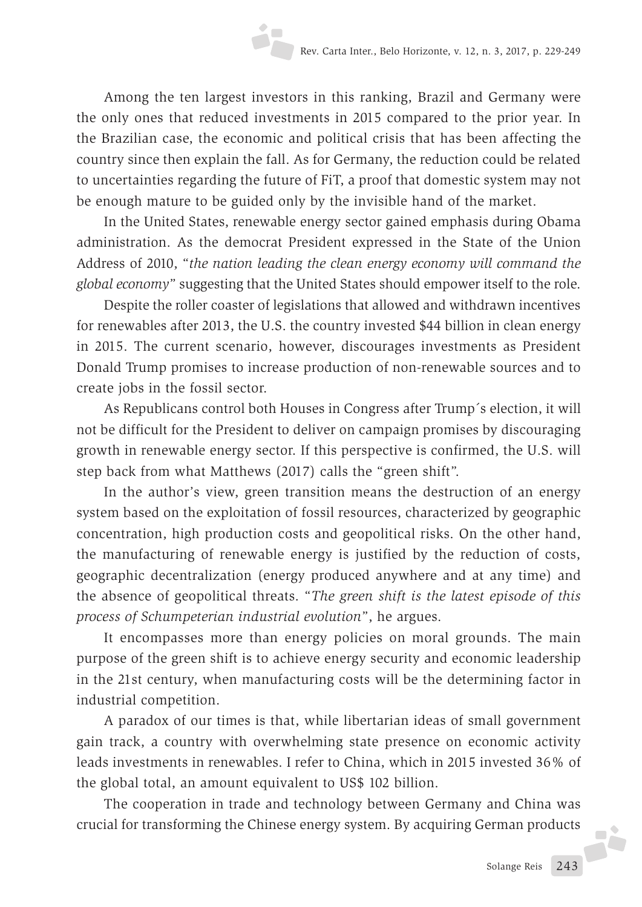Among the ten largest investors in this ranking, Brazil and Germany were the only ones that reduced investments in 2015 compared to the prior year. In the Brazilian case, the economic and political crisis that has been affecting the country since then explain the fall. As for Germany, the reduction could be related to uncertainties regarding the future of FiT, a proof that domestic system may not be enough mature to be guided only by the invisible hand of the market.

In the United States, renewable energy sector gained emphasis during Obama administration. As the democrat President expressed in the State of the Union Address of 2010, "*the nation leading the clean energy economy will command the global economy*" suggesting that the United States should empower itself to the role.

Despite the roller coaster of legislations that allowed and withdrawn incentives for renewables after 2013, the U.S. the country invested \$44 billion in clean energy in 2015. The current scenario, however, discourages investments as President Donald Trump promises to increase production of non-renewable sources and to create jobs in the fossil sector.

As Republicans control both Houses in Congress after Trump´s election, it will not be difficult for the President to deliver on campaign promises by discouraging growth in renewable energy sector. If this perspective is confirmed, the U.S. will step back from what Matthews (2017) calls the "green shift".

In the author's view, green transition means the destruction of an energy system based on the exploitation of fossil resources, characterized by geographic concentration, high production costs and geopolitical risks. On the other hand, the manufacturing of renewable energy is justified by the reduction of costs, geographic decentralization (energy produced anywhere and at any time) and the absence of geopolitical threats. "*The green shift is the latest episode of this process of Schumpeterian industrial evolution*", he argues.

It encompasses more than energy policies on moral grounds. The main purpose of the green shift is to achieve energy security and economic leadership in the 21st century, when manufacturing costs will be the determining factor in industrial competition.

A paradox of our times is that, while libertarian ideas of small government gain track, a country with overwhelming state presence on economic activity leads investments in renewables. I refer to China, which in 2015 invested 36% of the global total, an amount equivalent to US\$ 102 billion.

The cooperation in trade and technology between Germany and China was crucial for transforming the Chinese energy system. By acquiring German products

J.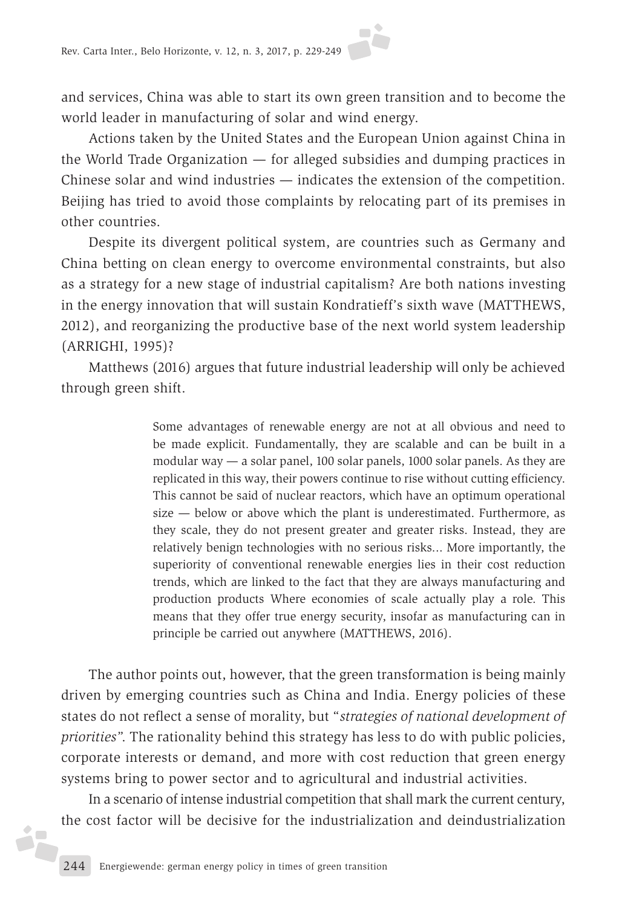and services, China was able to start its own green transition and to become the world leader in manufacturing of solar and wind energy.

Actions taken by the United States and the European Union against China in the World Trade Organization — for alleged subsidies and dumping practices in Chinese solar and wind industries — indicates the extension of the competition. Beijing has tried to avoid those complaints by relocating part of its premises in other countries.

Despite its divergent political system, are countries such as Germany and China betting on clean energy to overcome environmental constraints, but also as a strategy for a new stage of industrial capitalism? Are both nations investing in the energy innovation that will sustain Kondratieff's sixth wave (MATTHEWS, 2012), and reorganizing the productive base of the next world system leadership (ARRIGHI, 1995)?

Matthews (2016) argues that future industrial leadership will only be achieved through green shift.

> Some advantages of renewable energy are not at all obvious and need to be made explicit. Fundamentally, they are scalable and can be built in a modular way — a solar panel, 100 solar panels, 1000 solar panels. As they are replicated in this way, their powers continue to rise without cutting efficiency. This cannot be said of nuclear reactors, which have an optimum operational size — below or above which the plant is underestimated. Furthermore, as they scale, they do not present greater and greater risks. Instead, they are relatively benign technologies with no serious risks... More importantly, the superiority of conventional renewable energies lies in their cost reduction trends, which are linked to the fact that they are always manufacturing and production products Where economies of scale actually play a role. This means that they offer true energy security, insofar as manufacturing can in principle be carried out anywhere (MATTHEWS, 2016).

The author points out, however, that the green transformation is being mainly driven by emerging countries such as China and India. Energy policies of these states do not reflect a sense of morality, but "*strategies of national development of priorities*". The rationality behind this strategy has less to do with public policies, corporate interests or demand, and more with cost reduction that green energy systems bring to power sector and to agricultural and industrial activities.

In a scenario of intense industrial competition that shall mark the current century, the cost factor will be decisive for the industrialization and deindustrialization

2F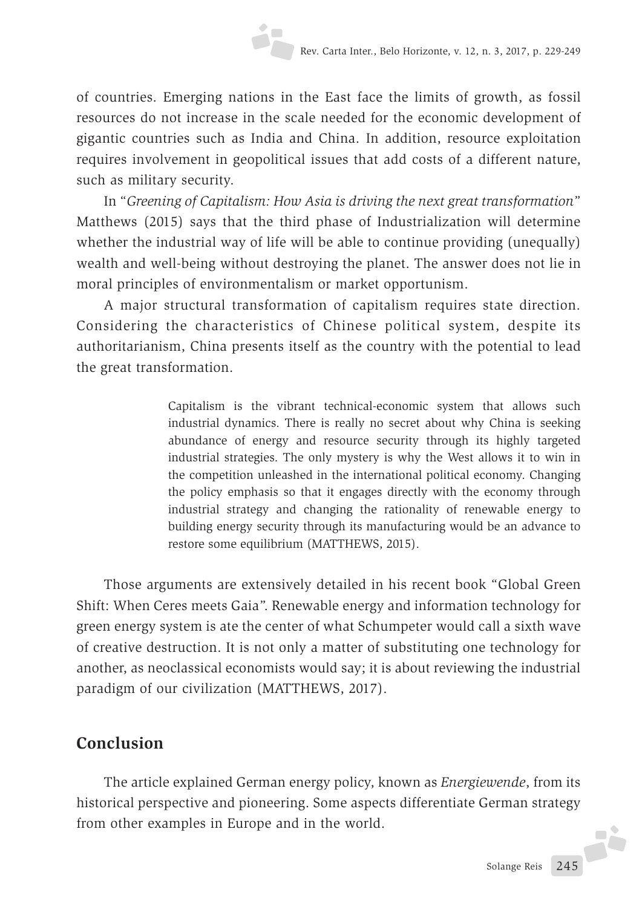of countries. Emerging nations in the East face the limits of growth, as fossil resources do not increase in the scale needed for the economic development of gigantic countries such as India and China. In addition, resource exploitation requires involvement in geopolitical issues that add costs of a different nature, such as military security.

In "*Greening of Capitalism: How Asia is driving the next great transformation*" Matthews (2015) says that the third phase of Industrialization will determine whether the industrial way of life will be able to continue providing (unequally) wealth and well-being without destroying the planet. The answer does not lie in moral principles of environmentalism or market opportunism.

A major structural transformation of capitalism requires state direction. Considering the characteristics of Chinese political system, despite its authoritarianism, China presents itself as the country with the potential to lead the great transformation.

> Capitalism is the vibrant technical-economic system that allows such industrial dynamics. There is really no secret about why China is seeking abundance of energy and resource security through its highly targeted industrial strategies. The only mystery is why the West allows it to win in the competition unleashed in the international political economy. Changing the policy emphasis so that it engages directly with the economy through industrial strategy and changing the rationality of renewable energy to building energy security through its manufacturing would be an advance to restore some equilibrium (MATTHEWS, 2015).

Those arguments are extensively detailed in his recent book "Global Green Shift: When Ceres meets Gaia". Renewable energy and information technology for green energy system is ate the center of what Schumpeter would call a sixth wave of creative destruction. It is not only a matter of substituting one technology for another, as neoclassical economists would say; it is about reviewing the industrial paradigm of our civilization (MATTHEWS, 2017).

# **Conclusion**

The article explained German energy policy, known as *Energiewende*, from its historical perspective and pioneering. Some aspects differentiate German strategy from other examples in Europe and in the world. Ji.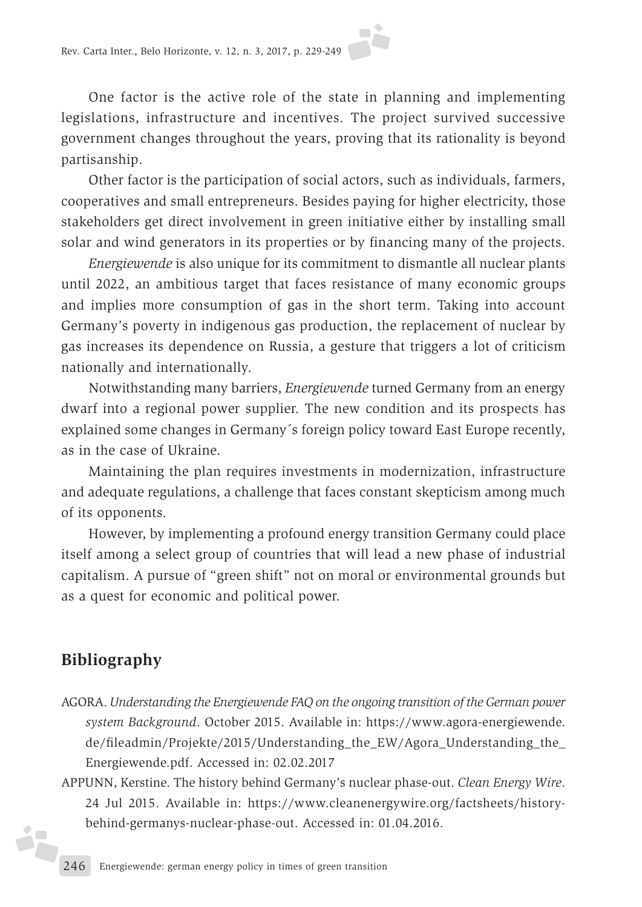One factor is the active role of the state in planning and implementing legislations, infrastructure and incentives. The project survived successive government changes throughout the years, proving that its rationality is beyond partisanship.

Other factor is the participation of social actors, such as individuals, farmers, cooperatives and small entrepreneurs. Besides paying for higher electricity, those stakeholders get direct involvement in green initiative either by installing small solar and wind generators in its properties or by financing many of the projects.

*Energiewende* is also unique for its commitment to dismantle all nuclear plants until 2022, an ambitious target that faces resistance of many economic groups and implies more consumption of gas in the short term. Taking into account Germany's poverty in indigenous gas production, the replacement of nuclear by gas increases its dependence on Russia, a gesture that triggers a lot of criticism nationally and internationally.

Notwithstanding many barriers, *Energiewende* turned Germany from an energy dwarf into a regional power supplier. The new condition and its prospects has explained some changes in Germany´s foreign policy toward East Europe recently, as in the case of Ukraine.

Maintaining the plan requires investments in modernization, infrastructure and adequate regulations, a challenge that faces constant skepticism among much of its opponents.

However, by implementing a profound energy transition Germany could place itself among a select group of countries that will lead a new phase of industrial capitalism. A pursue of "green shift" not on moral or environmental grounds but as a quest for economic and political power.

# **Bibliography**

矢

- AGORA. *Understanding the Energiewende FAQ on the ongoing transition of the German power system Background*. October 2015. Available in: https://www.agora-energiewende. de/fileadmin/Projekte/2015/Understanding\_the\_EW/Agora\_Understanding\_the\_ Energiewende.pdf. Accessed in: 02.02.2017
- APPUNN, Kerstine. The history behind Germany's nuclear phase-out. *Clean Energy Wire*. 24 Jul 2015. Available in: https://www.cleanenergywire.org/factsheets/historybehind-germanys-nuclear-phase-out. Accessed in: 01.04.2016.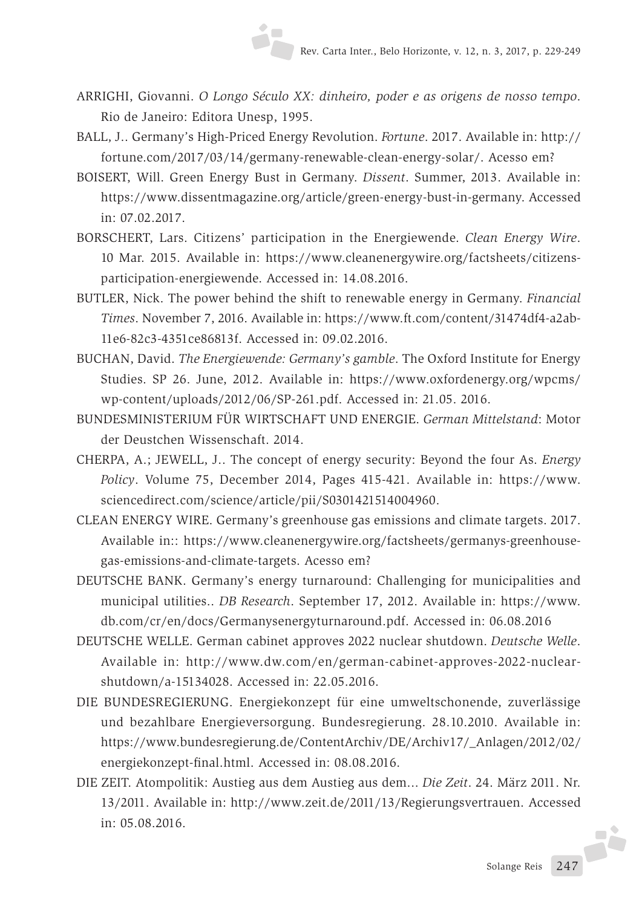- ARRIGHI, Giovanni. *O Longo Século XX: dinheiro, poder e as origens de nosso tempo*. Rio de Janeiro: Editora Unesp, 1995.
- BALL, J.. Germany's High-Priced Energy Revolution. *Fortune*. 2017. Available in: http:// fortune.com/2017/03/14/germany-renewable-clean-energy-solar/. Acesso em?
- BOISERT, Will. Green Energy Bust in Germany. *Dissent*. Summer, 2013. Available in: https://www.dissentmagazine.org/article/green-energy-bust-in-germany. Accessed in: 07.02.2017.
- BORSCHERT, Lars. Citizens' participation in the Energiewende. *Clean Energy Wire*. 10 Mar. 2015. Available in: https://www.cleanenergywire.org/factsheets/citizensparticipation-energiewende. Accessed in: 14.08.2016.
- BUTLER, Nick. The power behind the shift to renewable energy in Germany. *Financial Times*. November 7, 2016. Available in: https://www.ft.com/content/31474df4-a2ab-11e6-82c3-4351ce86813f. Accessed in: 09.02.2016.
- BUCHAN, David. *The Energiewende: Germany's gamble*. The Oxford Institute for Energy Studies. SP 26. June, 2012. Available in: https://www.oxfordenergy.org/wpcms/ wp-content/uploads/2012/06/SP-261.pdf. Accessed in: 21.05. 2016.
- BUNDESMINISTERIUM FÜR WIRTSCHAFT UND ENERGIE. *German Mittelstand*: Motor der Deustchen Wissenschaft. 2014.
- CHERPA, A.; JEWELL, J.. The concept of energy security: Beyond the four As. *Energy Policy*. Volume 75, December 2014, Pages 415-421. Available in: https://www. sciencedirect.com/science/article/pii/S0301421514004960.
- CLEAN ENERGY WIRE. Germany's greenhouse gas emissions and climate targets. 2017. Available in:: https://www.cleanenergywire.org/factsheets/germanys-greenhousegas-emissions-and-climate-targets. Acesso em?
- DEUTSCHE BANK. Germany's energy turnaround: Challenging for municipalities and municipal utilities.. *DB Research*. September 17, 2012. Available in: https://www. db.com/cr/en/docs/Germanysenergyturnaround.pdf. Accessed in: 06.08.2016
- DEUTSCHE WELLE. German cabinet approves 2022 nuclear shutdown. *Deutsche Welle*. Available in: http://www.dw.com/en/german-cabinet-approves-2022-nuclearshutdown/a-15134028. Accessed in: 22.05.2016.
- DIE BUNDESREGIERUNG. Energiekonzept für eine umweltschonende, zuverlässige und bezahlbare Energieversorgung. Bundesregierung. 28.10.2010. Available in: https://www.bundesregierung.de/ContentArchiv/DE/Archiv17/\_Anlagen/2012/02/ energiekonzept-final.html. Accessed in: 08.08.2016.
- DIE ZEIT. Atompolitik: Austieg aus dem Austieg aus dem... *Die Zeit*. 24. März 2011. Nr. 13/2011. Available in: http://www.zeit.de/2011/13/Regierungsvertrauen. Accessed in: 05.08.2016.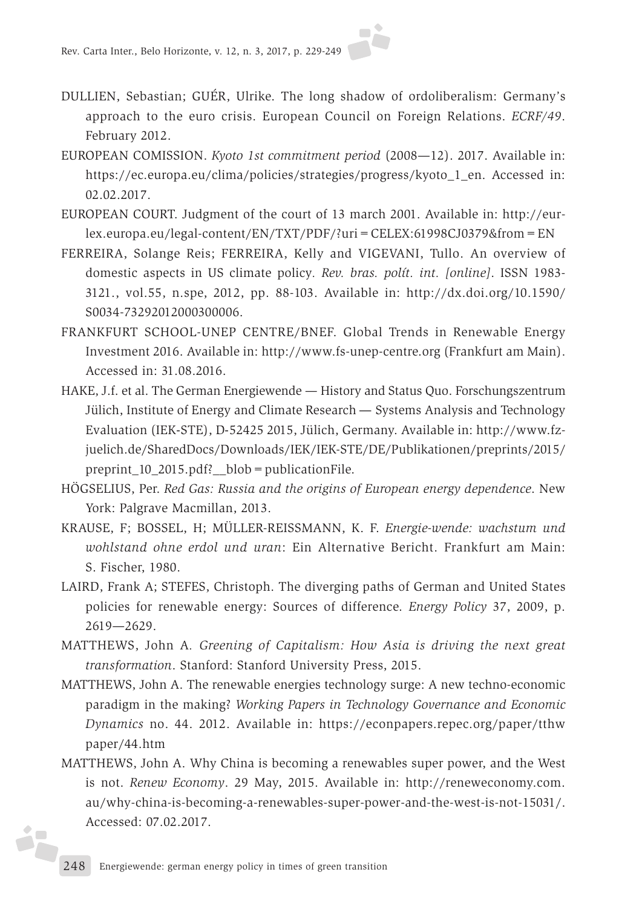- DULLIEN, Sebastian; GUÉR, Ulrike. The long shadow of ordoliberalism: Germany's approach to the euro crisis. European Council on Foreign Relations. *ECRF/49*. February 2012.
- EUROPEAN COMISSION. *Kyoto 1st commitment period* (2008—12). 2017. Available in: https://ec.europa.eu/clima/policies/strategies/progress/kyoto\_1\_en. Accessed in: 02.02.2017.
- EUROPEAN COURT. Judgment of the court of 13 march 2001. Available in: http://eurlex.europa.eu/legal-content/EN/TXT/PDF/?uri=CELEX:61998CJ0379&from=EN
- FERREIRA, Solange Reis; FERREIRA, Kelly and VIGEVANI, Tullo. An overview of domestic aspects in US climate policy*. Rev. bras. polít. int. [online]*. ISSN 1983- 3121., vol.55, n.spe, 2012, pp. 88-103. Available in: http://dx.doi.org/10.1590/ S0034-73292012000300006.
- FRANKFURT SCHOOL-UNEP CENTRE/BNEF. Global Trends in Renewable Energy Investment 2016. Available in: http://www.fs-unep-centre.org (Frankfurt am Main). Accessed in: 31.08.2016.
- HAKE, J.f. et al. The German Energiewende History and Status Quo. Forschungszentrum Jülich, Institute of Energy and Climate Research — Systems Analysis and Technology Evaluation (IEK‐STE), D‐52425 2015, Jülich, Germany. Available in: http://www.fzjuelich.de/SharedDocs/Downloads/IEK/IEK-STE/DE/Publikationen/preprints/2015/ preprint\_10\_2015.pdf?\_\_blob=publicationFile.
- HÖGSELIUS, Per. *Red Gas: Russia and the origins of European energy dependence*. New York: Palgrave Macmillan, 2013.
- KRAUSE, F; BOSSEL, H; MÜLLER-REISSMANN, K. F. *Energie-wende: wachstum und wohlstand ohne erdol und uran*: Ein Alternative Bericht. Frankfurt am Main: S. Fischer, 1980.
- LAIRD, Frank A; STEFES, Christoph. The diverging paths of German and United States policies for renewable energy: Sources of difference. *Energy Policy* 37, 2009, p. 2619—2629.
- MATTHEWS, John A*. Greening of Capitalism: How Asia is driving the next great transformation*. Stanford: Stanford University Press, 2015.
- MATTHEWS, John A. The renewable energies technology surge: A new techno-economic paradigm in the making? *Working Papers in Technology Governance and Economic Dynamics* no. 44. 2012. Available in: https://econpapers.repec.org/paper/tthw paper/44.htm
- MATTHEWS, John A. Why China is becoming a renewables super power, and the West is not. *Renew Economy*. 29 May, 2015. Available in: http://reneweconomy.com. au/why-china-is-becoming-a-renewables-super-power-and-the-west-is-not-15031/. Accessed: 07.02.2017.